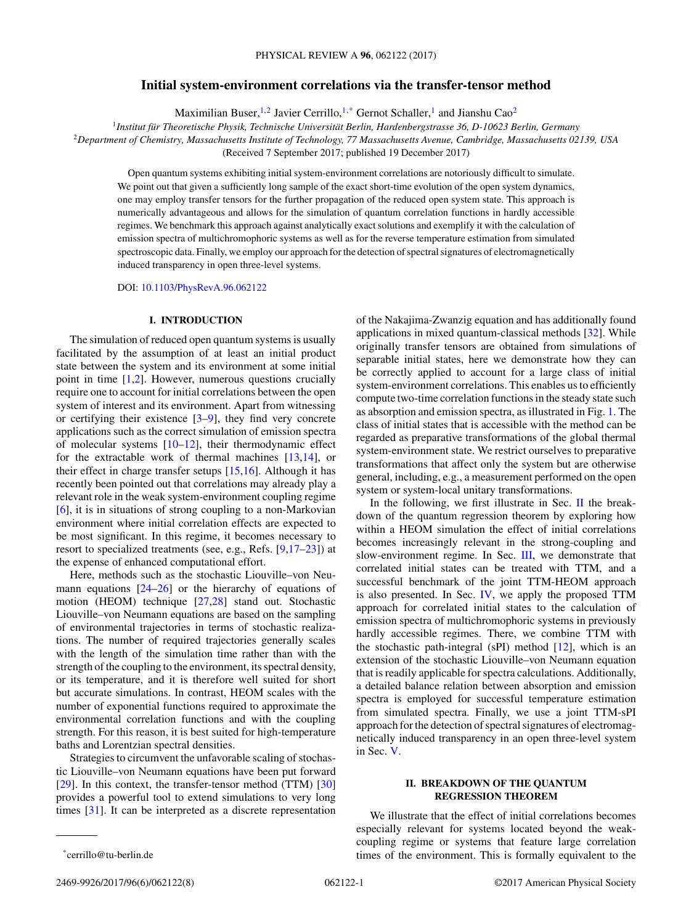# **Initial system-environment correlations via the transfer-tensor method**

Maximilian Buser,<sup>1,2</sup> Javier Cerrillo,<sup>1,\*</sup> Gernot Schaller,<sup>1</sup> and Jianshu Cao<sup>2</sup>

<sup>1</sup>*Institut für Theoretische Physik, Technische Universität Berlin, Hardenbergstrasse 36, D-10623 Berlin, Germany* <sup>2</sup>*Department of Chemistry, Massachusetts Institute of Technology, 77 Massachusetts Avenue, Cambridge, Massachusetts 02139, USA* (Received 7 September 2017; published 19 December 2017)

Open quantum systems exhibiting initial system-environment correlations are notoriously difficult to simulate. We point out that given a sufficiently long sample of the exact short-time evolution of the open system dynamics, one may employ transfer tensors for the further propagation of the reduced open system state. This approach is numerically advantageous and allows for the simulation of quantum correlation functions in hardly accessible regimes. We benchmark this approach against analytically exact solutions and exemplify it with the calculation of emission spectra of multichromophoric systems as well as for the reverse temperature estimation from simulated spectroscopic data. Finally, we employ our approach for the detection of spectral signatures of electromagnetically induced transparency in open three-level systems.

DOI: [10.1103/PhysRevA.96.062122](https://doi.org/10.1103/PhysRevA.96.062122)

#### **I. INTRODUCTION**

The simulation of reduced open quantum systems is usually facilitated by the assumption of at least an initial product state between the system and its environment at some initial point in time [\[1,2\]](#page-7-0). However, numerous questions crucially require one to account for initial correlations between the open system of interest and its environment. Apart from witnessing or certifying their existence [\[3–9\]](#page-7-0), they find very concrete applications such as the correct simulation of emission spectra of molecular systems [\[10–12\]](#page-7-0), their thermodynamic effect for the extractable work of thermal machines [\[13,14\]](#page-7-0), or their effect in charge transfer setups [\[15,16\]](#page-7-0). Although it has recently been pointed out that correlations may already play a relevant role in the weak system-environment coupling regime [\[6\]](#page-7-0), it is in situations of strong coupling to a non-Markovian environment where initial correlation effects are expected to be most significant. In this regime, it becomes necessary to resort to specialized treatments (see, e.g., Refs. [\[9,17–23\]](#page-7-0)) at the expense of enhanced computational effort.

Here, methods such as the stochastic Liouville–von Neumann equations  $[24-26]$  or the hierarchy of equations of motion (HEOM) technique [\[27,28\]](#page-7-0) stand out. Stochastic Liouville–von Neumann equations are based on the sampling of environmental trajectories in terms of stochastic realizations. The number of required trajectories generally scales with the length of the simulation time rather than with the strength of the coupling to the environment, its spectral density, or its temperature, and it is therefore well suited for short but accurate simulations. In contrast, HEOM scales with the number of exponential functions required to approximate the environmental correlation functions and with the coupling strength. For this reason, it is best suited for high-temperature baths and Lorentzian spectral densities.

Strategies to circumvent the unfavorable scaling of stochastic Liouville–von Neumann equations have been put forward [\[29\]](#page-7-0). In this context, the transfer-tensor method (TTM) [\[30\]](#page-7-0) provides a powerful tool to extend simulations to very long times [\[31\]](#page-7-0). It can be interpreted as a discrete representation of the Nakajima-Zwanzig equation and has additionally found applications in mixed quantum-classical methods [\[32\]](#page-7-0). While originally transfer tensors are obtained from simulations of separable initial states, here we demonstrate how they can be correctly applied to account for a large class of initial system-environment correlations. This enables us to efficiently compute two-time correlation functions in the steady state such as absorption and emission spectra, as illustrated in Fig. [1.](#page-1-0) The class of initial states that is accessible with the method can be regarded as preparative transformations of the global thermal system-environment state. We restrict ourselves to preparative transformations that affect only the system but are otherwise general, including, e.g., a measurement performed on the open system or system-local unitary transformations.

In the following, we first illustrate in Sec.  $\Pi$  the breakdown of the quantum regression theorem by exploring how within a HEOM simulation the effect of initial correlations becomes increasingly relevant in the strong-coupling and slow-environment regime. In Sec. [III,](#page-2-0) we demonstrate that correlated initial states can be treated with TTM, and a successful benchmark of the joint TTM-HEOM approach is also presented. In Sec. [IV,](#page-3-0) we apply the proposed TTM approach for correlated initial states to the calculation of emission spectra of multichromophoric systems in previously hardly accessible regimes. There, we combine TTM with the stochastic path-integral (sPI) method  $[12]$ , which is an extension of the stochastic Liouville–von Neumann equation that is readily applicable for spectra calculations. Additionally, a detailed balance relation between absorption and emission spectra is employed for successful temperature estimation from simulated spectra. Finally, we use a joint TTM-sPI approach for the detection of spectral signatures of electromagnetically induced transparency in an open three-level system in Sec. [V.](#page-6-0)

### **II. BREAKDOWN OF THE QUANTUM REGRESSION THEOREM**

We illustrate that the effect of initial correlations becomes especially relevant for systems located beyond the weakcoupling regime or systems that feature large correlation times of the environment. This is formally equivalent to the

<sup>\*</sup>cerrillo@tu-berlin.de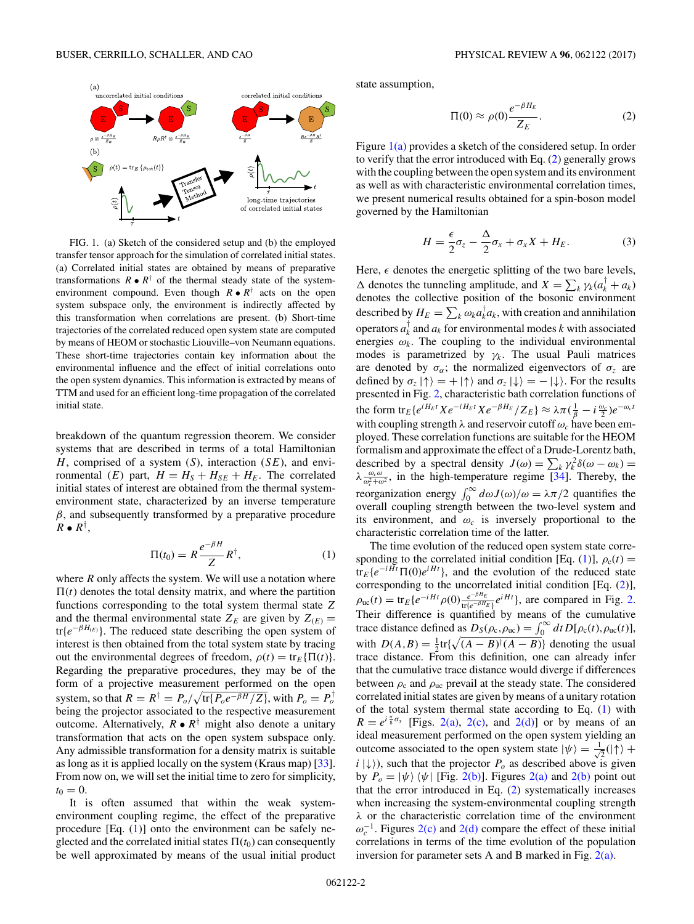<span id="page-1-0"></span>

FIG. 1. (a) Sketch of the considered setup and (b) the employed transfer tensor approach for the simulation of correlated initial states. (a) Correlated initial states are obtained by means of preparative transformations  $R \cdot R^{\dagger}$  of the thermal steady state of the systemenvironment compound. Even though  $R \bullet R^{\dagger}$  acts on the open system subspace only, the environment is indirectly affected by this transformation when correlations are present. (b) Short-time trajectories of the correlated reduced open system state are computed by means of HEOM or stochastic Liouville–von Neumann equations. These short-time trajectories contain key information about the environmental influence and the effect of initial correlations onto the open system dynamics. This information is extracted by means of TTM and used for an efficient long-time propagation of the correlated initial state.

breakdown of the quantum regression theorem. We consider systems that are described in terms of a total Hamiltonian *H*, comprised of a system (*S*), interaction (*SE*), and environmental (*E*) part,  $H = H<sub>S</sub> + H<sub>SE</sub> + H<sub>E</sub>$ . The correlated initial states of interest are obtained from the thermal systemenvironment state, characterized by an inverse temperature *β*, and subsequently transformed by a preparative procedure  $R \bullet R^{\dagger}$ ,

$$
\Pi(t_0) = R \frac{e^{-\beta H}}{Z} R^{\dagger}, \tag{1}
$$

where *R* only affects the system. We will use a notation where  $\Pi(t)$  denotes the total density matrix, and where the partition functions corresponding to the total system thermal state *Z* and the thermal environmental state  $Z_E$  are given by  $Z_{(E)} =$ tr{ $e^{-\beta H_{(E)}}$ }. The reduced state describing the open system of interest is then obtained from the total system state by tracing out the environmental degrees of freedom,  $\rho(t) = \text{tr}_E\{\Pi(t)\}.$ Regarding the preparative procedures, they may be of the form of a projective measurement performed on the open system, so that  $R = R^{\dagger} = P_o / \sqrt{\text{tr}\{P_o e^{-\beta H} / Z\}}$ , with  $P_o = P_o^{\dagger}$ being the projector associated to the respective measurement outcome. Alternatively,  $R \bullet R^{\dagger}$  might also denote a unitary transformation that acts on the open system subspace only. Any admissible transformation for a density matrix is suitable as long as it is applied locally on the system (Kraus map) [\[33\]](#page-7-0). From now on, we will set the initial time to zero for simplicity,  $t_0 = 0.$ 

It is often assumed that within the weak systemenvironment coupling regime, the effect of the preparative procedure [Eq. (1)] onto the environment can be safely neglected and the correlated initial states  $\Pi(t_0)$  can consequently be well approximated by means of the usual initial product state assumption,

$$
\Pi(0) \approx \rho(0) \frac{e^{-\beta H_E}}{Z_E}.
$$
 (2)

Figure 1(a) provides a sketch of the considered setup. In order to verify that the error introduced with Eq. (2) generally grows with the coupling between the open system and its environment as well as with characteristic environmental correlation times, we present numerical results obtained for a spin-boson model governed by the Hamiltonian

$$
H = \frac{\epsilon}{2}\sigma_z - \frac{\Delta}{2}\sigma_x + \sigma_x X + H_E.
$$
 (3)

Here,  $\epsilon$  denotes the energetic splitting of the two bare levels,  $\Delta$  denotes the tunneling amplitude, and  $X = \sum_{k} \gamma_k (a_k^{\dagger} + a_k)$ denotes the collective position of the bosonic environment described by  $H_E = \sum_k \omega_k a_k^\dagger a_k$ , with creation and annihilation operators  $a_k^{\dagger}$  and  $a_k$  for environmental modes *k* with associated energies  $\omega_k$ . The coupling to the individual environmental modes is parametrized by  $\gamma_k$ . The usual Pauli matrices are denoted by  $\sigma_{\alpha}$ ; the normalized eigenvectors of  $\sigma_{z}$  are defined by  $\sigma_z |\uparrow\rangle = + |\uparrow\rangle$  and  $\sigma_z |\downarrow\rangle = - |\downarrow\rangle$ . For the results presented in Fig. [2,](#page-2-0) characteristic bath correlation functions of the form  $\text{tr}_E\{e^{iH_E t} X e^{-iH_E t} X e^{-\beta H_E}/Z_E\} \approx \lambda \pi (\frac{1}{\beta} - i\frac{\omega_c}{2})e^{-\omega_c t}$ with coupling strength  $\lambda$  and reservoir cutoff  $\omega_c$  have been employed. These correlation functions are suitable for the HEOM formalism and approximate the effect of a Drude-Lorentz bath, described by a spectral density  $J(\omega) = \sum_k \gamma_k^2 \delta(\omega - \omega_k) =$  $\lambda \frac{\omega_c \omega}{\omega_c^2 + \omega^2}$ , in the high-temperature regime [\[34\]](#page-7-0). Thereby, the reorganization energy  $\int_0^\infty d\omega J(\omega)/\omega = \lambda \pi/2$  quantifies the overall coupling strength between the two-level system and its environment, and  $\omega_c$  is inversely proportional to the characteristic correlation time of the latter.

The time evolution of the reduced open system state corresponding to the correlated initial condition [Eq. (1)],  $\rho_c(t) =$  $tr_E\{e^{-iHt}\Pi(0)e^{iHt}\}\$ , and the evolution of the reduced state corresponding to the uncorrelated initial condition [Eq. (2)],  $\rho_{\text{uc}}(t) = \text{tr}_{E} \{e^{-iHt} \rho(0) \frac{e^{-\beta H_E}}{\text{tr}\{e^{-\beta H_E}\}} e^{iHt}\},\text{ are compared in Fig. 2.}$  $\rho_{\text{uc}}(t) = \text{tr}_{E} \{e^{-iHt} \rho(0) \frac{e^{-\beta H_E}}{\text{tr}\{e^{-\beta H_E}\}} e^{iHt}\},\text{ are compared in Fig. 2.}$  $\rho_{\text{uc}}(t) = \text{tr}_{E} \{e^{-iHt} \rho(0) \frac{e^{-\beta H_E}}{\text{tr}\{e^{-\beta H_E}\}} e^{iHt}\},\text{ are compared in Fig. 2.}$ Their difference is quantified by means of the cumulative trace distance defined as  $D_S(\rho_c, \rho_{uc}) = \int_0^\infty dt D[\rho_c(t), \rho_{uc}(t)]$ , with  $D(A, B) = \frac{1}{2} \text{tr} \{ \sqrt{(A - B)^{\dagger} (A - B)} \}$  denoting the usual trace distance. From this definition, one can already infer that the cumulative trace distance would diverge if differences between  $\rho_c$  and  $\rho_{uc}$  prevail at the steady state. The considered correlated initial states are given by means of a unitary rotation of the total system thermal state according to Eq. (1) with  $R = e^{i\frac{\pi}{8}\sigma_x}$  [Figs. [2\(a\),](#page-2-0) [2\(c\),](#page-2-0) and [2\(d\)\]](#page-2-0) or by means of an ideal measurement performed on the open system yielding an outcome associated to the open system state  $|\psi\rangle = \frac{1}{\sqrt{2}}$  $\frac{1}{2}(|\uparrow\rangle +$  $i | \downarrow \rangle$ ), such that the projector  $P_o$  as described above is given by  $P_o = |\psi\rangle \langle \psi|$  [Fig. [2\(b\)\]](#page-2-0). Figures [2\(a\)](#page-2-0) and [2\(b\)](#page-2-0) point out that the error introduced in Eq. (2) systematically increases when increasing the system-environmental coupling strength *λ* or the characteristic correlation time of the environment  $\omega_c^{-1}$ . Figures [2\(c\)](#page-2-0) and [2\(d\)](#page-2-0) compare the effect of these initial correlations in terms of the time evolution of the population inversion for parameter sets A and B marked in Fig.  $2(a)$ .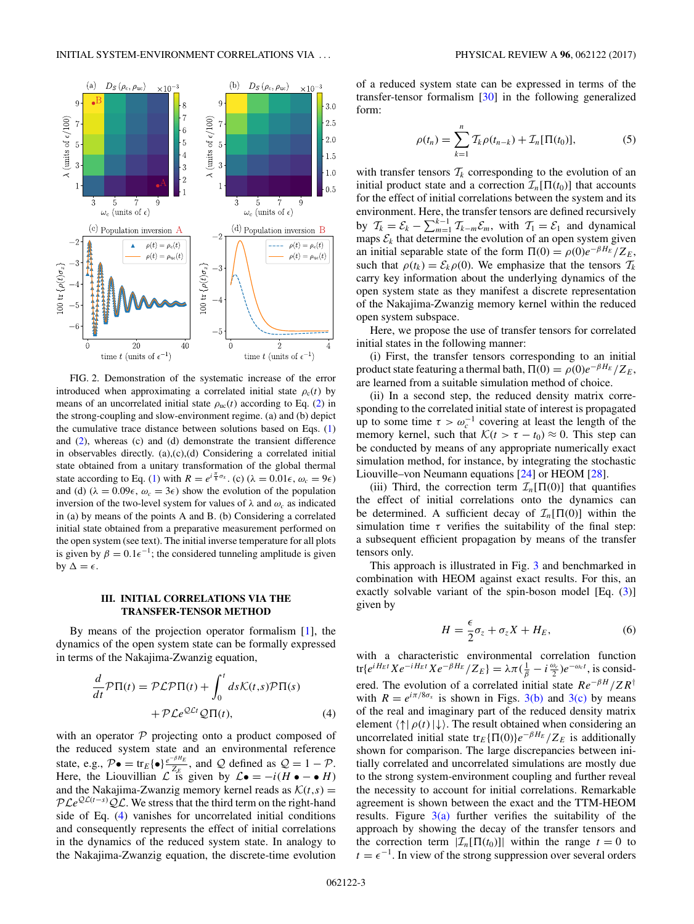<span id="page-2-0"></span>

FIG. 2. Demonstration of the systematic increase of the error introduced when approximating a correlated initial state  $\rho_c(t)$  by means of an uncorrelated initial state  $\rho_{\text{uc}}(t)$  according to Eq. [\(2\)](#page-1-0) in the strong-coupling and slow-environment regime. (a) and (b) depict the cumulative trace distance between solutions based on Eqs. [\(1\)](#page-1-0) and [\(2\)](#page-1-0), whereas (c) and (d) demonstrate the transient difference in observables directly. (a),(c),(d) Considering a correlated initial state obtained from a unitary transformation of the global thermal state according to Eq. [\(1\)](#page-1-0) with  $R = e^{i\frac{\pi}{8}\sigma_x}$ . (c)  $(\lambda = 0.01\epsilon, \omega_c = 9\epsilon)$ and (d)  $(\lambda = 0.09\epsilon, \omega_c = 3\epsilon)$  show the evolution of the population inversion of the two-level system for values of  $λ$  and  $ω<sub>c</sub>$  as indicated in (a) by means of the points A and B. (b) Considering a correlated initial state obtained from a preparative measurement performed on the open system (see text). The initial inverse temperature for all plots is given by  $\beta = 0.1\epsilon^{-1}$ ; the considered tunneling amplitude is given by  $\Delta = \epsilon$ .

#### **III. INITIAL CORRELATIONS VIA THE TRANSFER-TENSOR METHOD**

By means of the projection operator formalism [\[1\]](#page-7-0), the dynamics of the open system state can be formally expressed in terms of the Nakajima-Zwanzig equation,

$$
\frac{d}{dt}\mathcal{P}\Pi(t) = \mathcal{P}\mathcal{L}\mathcal{P}\Pi(t) + \int_0^t ds \mathcal{K}(t,s)\mathcal{P}\Pi(s) + \mathcal{P}\mathcal{L}e^{\mathcal{Q}\mathcal{L}t}\mathcal{Q}\Pi(t),
$$
\n(4)

with an operator  $P$  projecting onto a product composed of the reduced system state and an environmental reference state, e.g.,  $\mathcal{P} \bullet = \text{tr}_E \{ \bullet \} \frac{e^{-\beta H_E}}{Z_E}, \text{ and } \mathcal{Q} \text{ defined as } \mathcal{Q} = 1 - \mathcal{P}.$ Here, the Liouvillian  $\mathcal{L}$  is given by  $\mathcal{L} \bullet = -i(H \bullet - \bullet H)$ and the Nakajima-Zwanzig memory kernel reads as  $\mathcal{K}(t,s)$  = P  $\mathcal{L}e^{\mathcal{Q}\mathcal{L}(t-s)}\mathcal{Q}\mathcal{L}$ . We stress that the third term on the right-hand side of Eq. (4) vanishes for uncorrelated initial conditions and consequently represents the effect of initial correlations in the dynamics of the reduced system state. In analogy to the Nakajima-Zwanzig equation, the discrete-time evolution of a reduced system state can be expressed in terms of the transfer-tensor formalism [\[30\]](#page-7-0) in the following generalized form:

$$
\rho(t_n) = \sum_{k=1}^n T_k \rho(t_{n-k}) + \mathcal{I}_n[\Pi(t_0)],
$$
\n(5)

with transfer tensors  $T_k$  corresponding to the evolution of an initial product state and a correction  $\mathcal{I}_n[\Pi(t_0)]$  that accounts for the effect of initial correlations between the system and its environment. Here, the transfer tensors are defined recursively by  $T_k = \mathcal{E}_k - \sum_{m=1}^{k-1} T_{k-m} \mathcal{E}_m$ , with  $T_1 = \mathcal{E}_1$  and dynamical maps  $\mathcal{E}_k$  that determine the evolution of an open system given an initial separable state of the form  $\Pi(0) = \rho(0)e^{-\beta H_E}/Z_E$ , such that  $\rho(t_k) = \mathcal{E}_k \rho(0)$ . We emphasize that the tensors  $\mathcal{T}_k$ carry key information about the underlying dynamics of the open system state as they manifest a discrete representation of the Nakajima-Zwanzig memory kernel within the reduced open system subspace.

Here, we propose the use of transfer tensors for correlated initial states in the following manner:

(i) First, the transfer tensors corresponding to an initial product state featuring a thermal bath,  $\Pi(0) = \rho(0)e^{-\beta H_E}/Z_E$ , are learned from a suitable simulation method of choice.

(ii) In a second step, the reduced density matrix corresponding to the correlated initial state of interest is propagated up to some time  $\tau > \omega_c^{-1}$  covering at least the length of the memory kernel, such that  $\mathcal{K}(t > \tau - t_0) \approx 0$ . This step can be conducted by means of any appropriate numerically exact simulation method, for instance, by integrating the stochastic Liouville–von Neumann equations [\[24\]](#page-7-0) or HEOM [\[28\]](#page-7-0).

(iii) Third, the correction term  $\mathcal{I}_n[\Pi(0)]$  that quantifies the effect of initial correlations onto the dynamics can be determined. A sufficient decay of  $\mathcal{I}_n[\Pi(0)]$  within the simulation time  $\tau$  verifies the suitability of the final step: a subsequent efficient propagation by means of the transfer tensors only.

This approach is illustrated in Fig. [3](#page-3-0) and benchmarked in combination with HEOM against exact results. For this, an exactly solvable variant of the spin-boson model [Eq. [\(3\)](#page-1-0)] given by

$$
H = \frac{\epsilon}{2}\sigma_z + \sigma_z X + H_E, \tag{6}
$$

with a characteristic environmental correlation function tr{ $e^{iH_E t} X e^{-iH_E t} X e^{-\beta H_E} / Z_E$ } =  $\lambda \pi (\frac{1}{\beta} - i \frac{\omega_c}{2}) e^{-\omega_c t}$ , is considered. The evolution of a correlated initial state *Re*<sup>−</sup>*βH /ZR*† with  $R = e^{i\pi/8\sigma_x}$  is shown in Figs. [3\(b\)](#page-3-0) and [3\(c\)](#page-3-0) by means of the real and imaginary part of the reduced density matrix element  $\langle \uparrow | \rho(t) | \downarrow \rangle$ . The result obtained when considering an uncorrelated initial state tr<sub>E</sub>{ $\Pi(0)$ }*e*<sup>−*βH<sub>E</sub></sup> /Z<sub>E</sub>* is additionally</sup> shown for comparison. The large discrepancies between initially correlated and uncorrelated simulations are mostly due to the strong system-environment coupling and further reveal the necessity to account for initial correlations. Remarkable agreement is shown between the exact and the TTM-HEOM results. Figure  $3(a)$  further verifies the suitability of the approach by showing the decay of the transfer tensors and the correction term  $|\mathcal{I}_n[\Pi(t_0)]|$  within the range  $t = 0$  to  $t = \epsilon^{-1}$ . In view of the strong suppression over several orders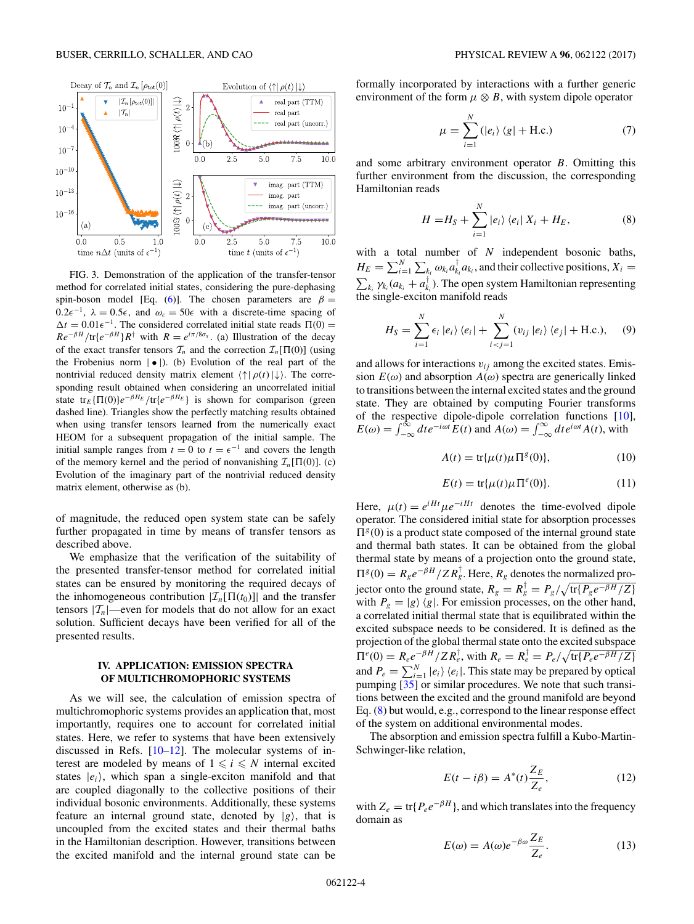<span id="page-3-0"></span>

FIG. 3. Demonstration of the application of the transfer-tensor method for correlated initial states, considering the pure-dephasing spin-boson model [Eq. [\(6\)](#page-2-0)]. The chosen parameters are  $\beta =$ 0.2 $\epsilon^{-1}$ ,  $\lambda = 0.5\epsilon$ , and  $\omega_c = 50\epsilon$  with a discrete-time spacing of  $\Delta t = 0.01\epsilon^{-1}$ . The considered correlated initial state reads  $\Pi(0)$  =  $Re^{-\beta H}/\text{tr}\lbrace e^{-\beta H}\rbrace R^{\dagger}$  with  $R=e^{i\pi/8\sigma_x}$ . (a) Illustration of the decay of the exact transfer tensors  $\mathcal{T}_n$  and the correction  $\mathcal{I}_n[\Pi(0)]$  (using the Frobenius norm  $| \bullet |$ ). (b) Evolution of the real part of the nontrivial reduced density matrix element  $\langle \uparrow | \rho(t) | \downarrow \rangle$ . The corresponding result obtained when considering an uncorrelated initial state tr<sub>E</sub>{ $\Pi(0)$ }*e*<sup>−*βHE</sup>* /tr{ $e^{-\beta H_E}$ } is shown for comparison (green</sup> dashed line). Triangles show the perfectly matching results obtained when using transfer tensors learned from the numerically exact HEOM for a subsequent propagation of the initial sample. The initial sample ranges from  $t = 0$  to  $t = \epsilon^{-1}$  and covers the length of the memory kernel and the period of nonvanishing  $\mathcal{I}_n[\Pi(0)]$ . (c) Evolution of the imaginary part of the nontrivial reduced density matrix element, otherwise as (b).

of magnitude, the reduced open system state can be safely further propagated in time by means of transfer tensors as described above.

We emphasize that the verification of the suitability of the presented transfer-tensor method for correlated initial states can be ensured by monitoring the required decays of the inhomogeneous contribution  $|\mathcal{I}_n[\Pi(t_0)]|$  and the transfer tensors  $|T_n|$ —even for models that do not allow for an exact solution. Sufficient decays have been verified for all of the presented results.

# **IV. APPLICATION: EMISSION SPECTRA OF MULTICHROMOPHORIC SYSTEMS**

As we will see, the calculation of emission spectra of multichromophoric systems provides an application that, most importantly, requires one to account for correlated initial states. Here, we refer to systems that have been extensively discussed in Refs. [\[10–12\]](#page-7-0). The molecular systems of interest are modeled by means of  $1 \leq i \leq N$  internal excited states  $|e_i\rangle$ , which span a single-exciton manifold and that are coupled diagonally to the collective positions of their individual bosonic environments. Additionally, these systems feature an internal ground state, denoted by  $|g\rangle$ , that is uncoupled from the excited states and their thermal baths in the Hamiltonian description. However, transitions between the excited manifold and the internal ground state can be

formally incorporated by interactions with a further generic environment of the form  $\mu \otimes B$ , with system dipole operator

$$
\mu = \sum_{i=1}^{N} (|e_i\rangle \langle g| + \text{H.c.})
$$
 (7)

and some arbitrary environment operator *B*. Omitting this further environment from the discussion, the corresponding Hamiltonian reads

$$
H = H_S + \sum_{i=1}^{N} |e_i\rangle \langle e_i| X_i + H_E, \qquad (8)
$$

with a total number of *N* independent bosonic baths,  $H_E = \sum_{i=1}^{N} \sum_{k_i} \omega_{k_i} a_{k_i}^{\dagger} a_{k_i}$ , and their collective positions,  $X_i =$  $\sum_{k_i} \gamma_{k_i} (a_{k_i} + a_{k_i}^{\dagger})$ . The open system Hamiltonian representing the single-exciton manifold reads

$$
H_S = \sum_{i=1}^{N} \epsilon_i |e_i\rangle \langle e_i| + \sum_{i < j=1}^{N} (v_{ij} |e_i\rangle \langle e_j| + \text{H.c.}), \quad (9)
$$

and allows for interactions  $v_{ij}$  among the excited states. Emission  $E(\omega)$  and absorption  $A(\omega)$  spectra are generically linked to transitions between the internal excited states and the ground state. They are obtained by computing Fourier transforms of the respective dipole-dipole correlation functions [\[10\]](#page-7-0),  $E(\omega) = \int_{-\infty}^{\infty} dt e^{-i\omega t} E(t)$  and  $A(\omega) = \int_{-\infty}^{\infty} dt e^{i\omega t} A(t)$ , with

$$
A(t) = \text{tr}\{\mu(t)\mu \Pi^g(0)\},\tag{10}
$$

$$
E(t) = \text{tr}\{\mu(t)\mu \Pi^{e}(0)\}.
$$
 (11)

Here,  $\mu(t) = e^{iHt} \mu e^{-iHt}$  denotes the time-evolved dipole operator. The considered initial state for absorption processes  $\Pi^g(0)$  is a product state composed of the internal ground state and thermal bath states. It can be obtained from the global thermal state by means of a projection onto the ground state,  $\Pi^g(0) = R_g e^{-\beta H} / Z R_g^{\dagger}$ . Here,  $R_g$  denotes the normalized pro- $\int$  jector onto the ground state,  $R_g = R_g^{\dagger} = P_g / \sqrt{\text{tr}\{P_g e^{-\beta H}/Z\}}$ with  $P_g = |g\rangle \langle g|$ . For emission processes, on the other hand, a correlated initial thermal state that is equilibrated within the excited subspace needs to be considered. It is defined as the projection of the global thermal state onto the excited subspace  $\Pi^e(0) = R_e e^{-\beta H} / Z R_e^{\dagger}$ , with  $R_e = R_e^{\dagger} = P_e / \sqrt{\text{tr}\{P_e e^{-\beta H} / Z\}}$ and  $P_e = \sum_{i=1}^{N} |e_i\rangle \langle e_i|$ . This state may be prepared by optical pumping [\[35\]](#page-7-0) or similar procedures. We note that such transitions between the excited and the ground manifold are beyond Eq. (8) but would, e.g., correspond to the linear response effect of the system on additional environmental modes.

The absorption and emission spectra fulfill a Kubo-Martin-Schwinger-like relation,

$$
E(t - i\beta) = A^*(t)\frac{Z_E}{Z_e},\qquad(12)
$$

with  $Z_e = \text{tr}\lbrace P_e e^{-\beta H} \rbrace$ , and which translates into the frequency domain as

$$
E(\omega) = A(\omega)e^{-\beta \omega} \frac{Z_E}{Z_e}.
$$
\n(13)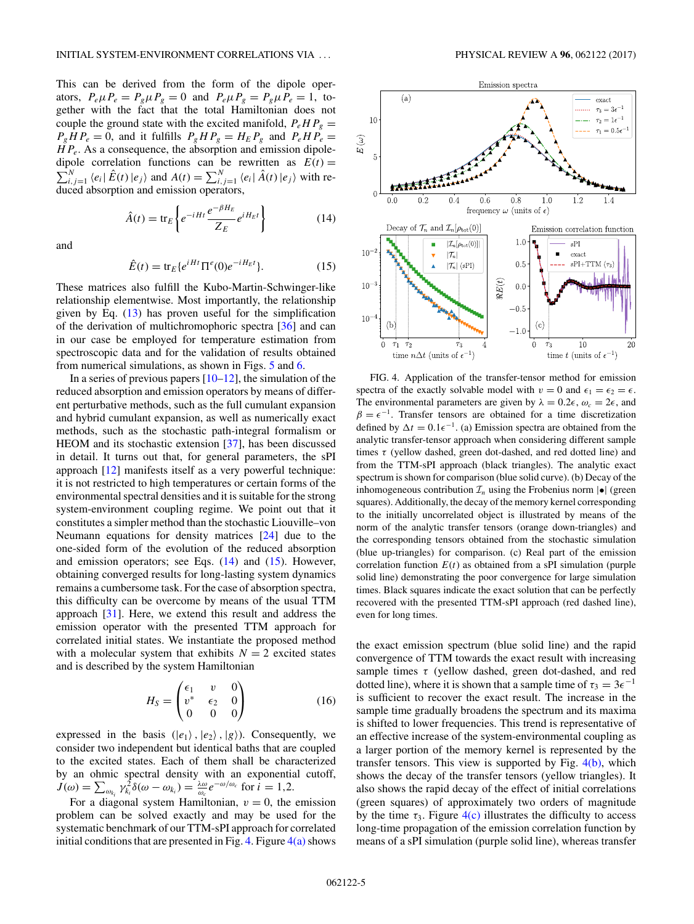<span id="page-4-0"></span>This can be derived from the form of the dipole operators,  $P_e\mu P_e = P_g\mu P_g = 0$  and  $P_e\mu P_g = P_g\mu P_e = 1$ , together with the fact that the total Hamiltonian does not couple the ground state with the excited manifold,  $P_e H P_g =$  $P_g H P_e = 0$ , and it fulfills  $P_g H P_g = H_E P_g$  and  $P_e H P_e =$ *HPe*. As a consequence, the absorption and emission dipoledipole correlation functions can be rewritten as  $E(t) =$  $\sum_{i,j=1}^{N} \langle e_i | \hat{E}(t) | e_j \rangle$  and  $A(t) = \sum_{i,j=1}^{N} \langle e_i | \hat{A}(t) | e_j \rangle$  with reduced absorption and emission operators,

 $\hat{A}(t) = \text{tr}_E \left\{ e^{-iHt} \frac{e^{-\beta H_E}}{Z_E} e^{iH_E t} \right\}$ 

and

$$
\hat{E}(t) = \text{tr}_E\{e^{iHt}\Pi^e(0)e^{-iH_Et}\}.
$$
\n(15)

(14)

These matrices also fulfill the Kubo-Martin-Schwinger-like relationship elementwise. Most importantly, the relationship given by Eq.  $(13)$  has proven useful for the simplification of the derivation of multichromophoric spectra [\[36\]](#page-7-0) and can in our case be employed for temperature estimation from spectroscopic data and for the validation of results obtained from numerical simulations, as shown in Figs. [5](#page-5-0) and [6.](#page-5-0)

In a series of previous papers  $[10-12]$ , the simulation of the reduced absorption and emission operators by means of different perturbative methods, such as the full cumulant expansion and hybrid cumulant expansion, as well as numerically exact methods, such as the stochastic path-integral formalism or HEOM and its stochastic extension [\[37\]](#page-7-0), has been discussed in detail. It turns out that, for general parameters, the sPI approach [\[12\]](#page-7-0) manifests itself as a very powerful technique: it is not restricted to high temperatures or certain forms of the environmental spectral densities and it is suitable for the strong system-environment coupling regime. We point out that it constitutes a simpler method than the stochastic Liouville–von Neumann equations for density matrices [\[24\]](#page-7-0) due to the one-sided form of the evolution of the reduced absorption and emission operators; see Eqs. (14) and (15). However, obtaining converged results for long-lasting system dynamics remains a cumbersome task. For the case of absorption spectra, this difficulty can be overcome by means of the usual TTM approach [\[31\]](#page-7-0). Here, we extend this result and address the emission operator with the presented TTM approach for correlated initial states. We instantiate the proposed method with a molecular system that exhibits  $N = 2$  excited states and is described by the system Hamiltonian

$$
H_S = \begin{pmatrix} \epsilon_1 & v & 0 \\ v^* & \epsilon_2 & 0 \\ 0 & 0 & 0 \end{pmatrix}
$$
 (16)

expressed in the basis  $(|e_1\rangle, |e_2\rangle, |g\rangle)$ . Consequently, we consider two independent but identical baths that are coupled to the excited states. Each of them shall be characterized by an ohmic spectral density with an exponential cutoff,  $J(\omega) = \sum_{\omega_{k_i}} \gamma_{k_i}^2 \delta(\omega - \omega_{k_i}) = \frac{\lambda \omega}{\omega_c} e^{-\omega/\omega_c}$  for  $\overline{i} = 1, 2$ .

For a diagonal system Hamiltonian,  $v = 0$ , the emission problem can be solved exactly and may be used for the systematic benchmark of our TTM-sPI approach for correlated initial conditions that are presented in Fig. 4. Figure  $4(a)$  shows



FIG. 4. Application of the transfer-tensor method for emission spectra of the exactly solvable model with  $v = 0$  and  $\epsilon_1 = \epsilon_2 = \epsilon$ . The environmental parameters are given by  $\lambda = 0.2\epsilon$ ,  $\omega_c = 2\epsilon$ , and  $\beta = \epsilon^{-1}$ . Transfer tensors are obtained for a time discretization defined by  $\Delta t = 0.1\epsilon^{-1}$ . (a) Emission spectra are obtained from the analytic transfer-tensor approach when considering different sample times *τ* (yellow dashed, green dot-dashed, and red dotted line) and from the TTM-sPI approach (black triangles). The analytic exact spectrum is shown for comparison (blue solid curve). (b) Decay of the inhomogeneous contribution  $\mathcal{I}_n$  using the Frobenius norm  $|\bullet|$  (green squares). Additionally, the decay of the memory kernel corresponding to the initially uncorrelated object is illustrated by means of the norm of the analytic transfer tensors (orange down-triangles) and the corresponding tensors obtained from the stochastic simulation (blue up-triangles) for comparison. (c) Real part of the emission correlation function  $E(t)$  as obtained from a sPI simulation (purple solid line) demonstrating the poor convergence for large simulation times. Black squares indicate the exact solution that can be perfectly recovered with the presented TTM-sPI approach (red dashed line), even for long times.

the exact emission spectrum (blue solid line) and the rapid convergence of TTM towards the exact result with increasing sample times *τ* (yellow dashed, green dot-dashed, and red dotted line), where it is shown that a sample time of  $\tau_3 = 3\epsilon^{-1}$ is sufficient to recover the exact result. The increase in the sample time gradually broadens the spectrum and its maxima is shifted to lower frequencies. This trend is representative of an effective increase of the system-environmental coupling as a larger portion of the memory kernel is represented by the transfer tensors. This view is supported by Fig.  $4(b)$ , which shows the decay of the transfer tensors (yellow triangles). It also shows the rapid decay of the effect of initial correlations (green squares) of approximately two orders of magnitude by the time  $\tau_3$ . Figure  $4(c)$  illustrates the difficulty to access long-time propagation of the emission correlation function by means of a sPI simulation (purple solid line), whereas transfer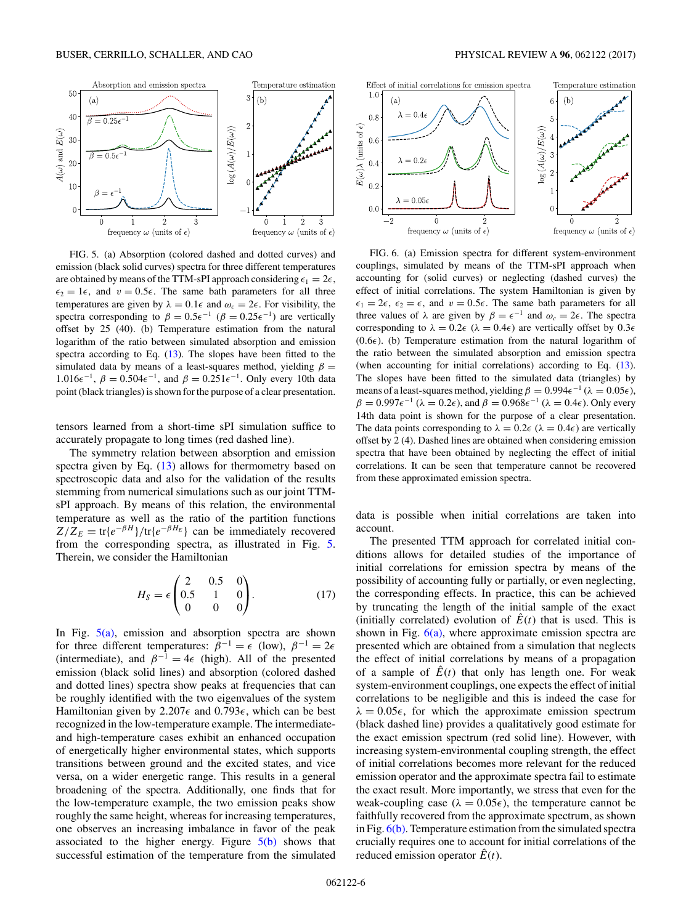<span id="page-5-0"></span>

FIG. 5. (a) Absorption (colored dashed and dotted curves) and emission (black solid curves) spectra for three different temperatures are obtained by means of the TTM-sPI approach considering  $\epsilon_1 = 2\epsilon$ ,  $\epsilon_2 = 1\epsilon$ , and  $v = 0.5\epsilon$ . The same bath parameters for all three temperatures are given by  $\lambda = 0.1\epsilon$  and  $\omega_c = 2\epsilon$ . For visibility, the spectra corresponding to  $\beta = 0.5\epsilon^{-1}$  ( $\beta = 0.25\epsilon^{-1}$ ) are vertically offset by 25 (40). (b) Temperature estimation from the natural logarithm of the ratio between simulated absorption and emission spectra according to Eq.  $(13)$ . The slopes have been fitted to the simulated data by means of a least-squares method, yielding  $\beta =$ 1.016 $\epsilon^{-1}$ ,  $\beta = 0.504\epsilon^{-1}$ , and  $\beta = 0.251\epsilon^{-1}$ . Only every 10th data point (black triangles) is shown for the purpose of a clear presentation.

tensors learned from a short-time sPI simulation suffice to accurately propagate to long times (red dashed line).

The symmetry relation between absorption and emission spectra given by Eq. [\(13\)](#page-3-0) allows for thermometry based on spectroscopic data and also for the validation of the results stemming from numerical simulations such as our joint TTMsPI approach. By means of this relation, the environmental temperature as well as the ratio of the partition functions  $Z/\bar{Z}_E$  = tr{*e*<sup>−*βH</sup>}/tr{<i>e*<sup>−*βH<sub>E</sub>*} can be immediately recovered</sup></sup> from the corresponding spectra, as illustrated in Fig. 5. Therein, we consider the Hamiltonian

$$
H_S = \epsilon \begin{pmatrix} 2 & 0.5 & 0 \\ 0.5 & 1 & 0 \\ 0 & 0 & 0 \end{pmatrix}.
$$
 (17)

In Fig.  $5(a)$ , emission and absorption spectra are shown for three different temperatures:  $\hat{\beta}^{-1} = \epsilon$  (low),  $\beta^{-1} = 2\epsilon$ (intermediate), and  $\beta^{-1} = 4\epsilon$  (high). All of the presented emission (black solid lines) and absorption (colored dashed and dotted lines) spectra show peaks at frequencies that can be roughly identified with the two eigenvalues of the system Hamiltonian given by 2.207 $\epsilon$  and 0.793 $\epsilon$ , which can be best recognized in the low-temperature example. The intermediateand high-temperature cases exhibit an enhanced occupation of energetically higher environmental states, which supports transitions between ground and the excited states, and vice versa, on a wider energetic range. This results in a general broadening of the spectra. Additionally, one finds that for the low-temperature example, the two emission peaks show roughly the same height, whereas for increasing temperatures, one observes an increasing imbalance in favor of the peak associated to the higher energy. Figure  $5(b)$  shows that successful estimation of the temperature from the simulated



FIG. 6. (a) Emission spectra for different system-environment couplings, simulated by means of the TTM-sPI approach when accounting for (solid curves) or neglecting (dashed curves) the effect of initial correlations. The system Hamiltonian is given by  $\epsilon_1 = 2\epsilon, \ \epsilon_2 = \epsilon, \text{ and } \ v = 0.5\epsilon.$  The same bath parameters for all three values of  $\lambda$  are given by  $\beta = \epsilon^{-1}$  and  $\omega_c = 2\epsilon$ . The spectra corresponding to  $\lambda = 0.2\epsilon$  ( $\lambda = 0.4\epsilon$ ) are vertically offset by  $0.3\epsilon$  $(0.6\epsilon)$ . (b) Temperature estimation from the natural logarithm of the ratio between the simulated absorption and emission spectra (when accounting for initial correlations) according to Eq. [\(13\)](#page-3-0). The slopes have been fitted to the simulated data (triangles) by means of a least-squares method, yielding  $\beta = 0.994\epsilon^{-1}$  ( $\lambda = 0.05\epsilon$ ),  $\beta = 0.997\epsilon^{-1}$  ( $\lambda = 0.2\epsilon$ ), and  $\beta = 0.968\epsilon^{-1}$  ( $\lambda = 0.4\epsilon$ ). Only every 14th data point is shown for the purpose of a clear presentation. The data points corresponding to  $\lambda = 0.2\epsilon$  ( $\lambda = 0.4\epsilon$ ) are vertically offset by 2 (4). Dashed lines are obtained when considering emission spectra that have been obtained by neglecting the effect of initial correlations. It can be seen that temperature cannot be recovered from these approximated emission spectra.

data is possible when initial correlations are taken into account.

The presented TTM approach for correlated initial conditions allows for detailed studies of the importance of initial correlations for emission spectra by means of the possibility of accounting fully or partially, or even neglecting, the corresponding effects. In practice, this can be achieved by truncating the length of the initial sample of the exact (initially correlated) evolution of  $\hat{E}(t)$  that is used. This is shown in Fig.  $6(a)$ , where approximate emission spectra are presented which are obtained from a simulation that neglects the effect of initial correlations by means of a propagation of a sample of  $\hat{E}(t)$  that only has length one. For weak system-environment couplings, one expects the effect of initial correlations to be negligible and this is indeed the case for  $\lambda = 0.05\epsilon$ , for which the approximate emission spectrum (black dashed line) provides a qualitatively good estimate for the exact emission spectrum (red solid line). However, with increasing system-environmental coupling strength, the effect of initial correlations becomes more relevant for the reduced emission operator and the approximate spectra fail to estimate the exact result. More importantly, we stress that even for the weak-coupling case ( $\lambda = 0.05\epsilon$ ), the temperature cannot be faithfully recovered from the approximate spectrum, as shown in Fig.  $6(b)$ . Temperature estimation from the simulated spectra crucially requires one to account for initial correlations of the reduced emission operator  $\hat{E}(t)$ .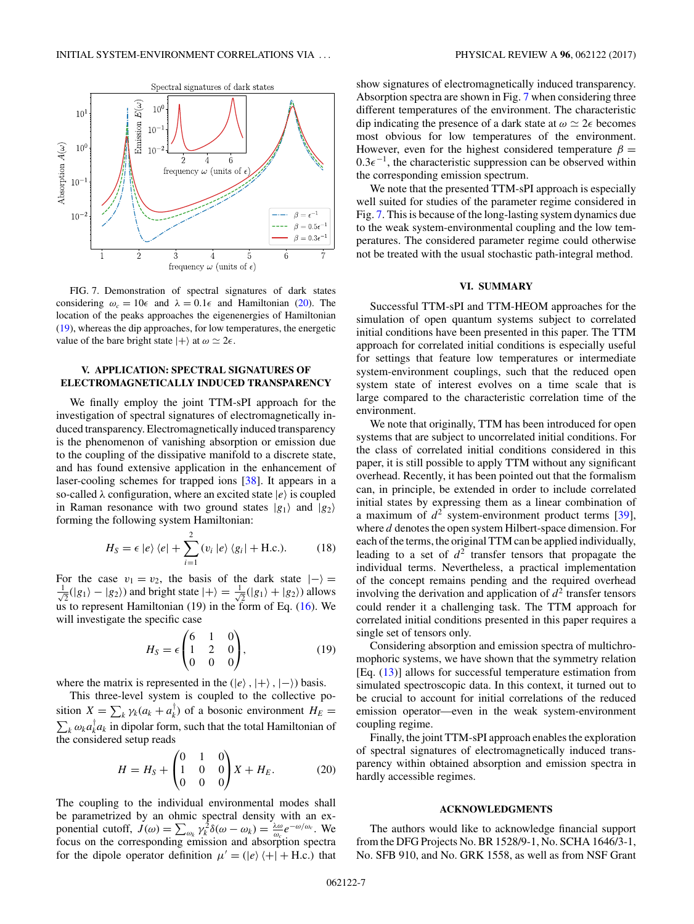<span id="page-6-0"></span>

FIG. 7. Demonstration of spectral signatures of dark states considering  $\omega_c = 10\epsilon$  and  $\lambda = 0.1\epsilon$  and Hamiltonian (20). The location of the peaks approaches the eigenenergies of Hamiltonian (19), whereas the dip approaches, for low temperatures, the energetic value of the bare bright state  $|+\rangle$  at  $\omega \simeq 2\epsilon$ .

# **V. APPLICATION: SPECTRAL SIGNATURES OF ELECTROMAGNETICALLY INDUCED TRANSPARENCY**

We finally employ the joint TTM-sPI approach for the investigation of spectral signatures of electromagnetically induced transparency. Electromagnetically induced transparency is the phenomenon of vanishing absorption or emission due to the coupling of the dissipative manifold to a discrete state, and has found extensive application in the enhancement of laser-cooling schemes for trapped ions [\[38\]](#page-7-0). It appears in a so-called  $\lambda$  configuration, where an excited state  $|e\rangle$  is coupled in Raman resonance with two ground states  $|g_1\rangle$  and  $|g_2\rangle$ forming the following system Hamiltonian:

$$
H_S = \epsilon |e\rangle \langle e| + \sum_{i=1}^{2} (v_i |e\rangle \langle g_i| + \text{H.c.}). \tag{18}
$$

For the case  $v_1 = v_2$ , the basis of the dark state  $|-\rangle =$  $\frac{1}{2}$  $\frac{1}{2}(|g_1\rangle - |g_2\rangle)$  and bright state  $|+\rangle = \frac{1}{\sqrt{2}}$  $\frac{1}{2}(|g_1\rangle+|g_2\rangle)$  allows us to represent Hamiltonian  $(19)$  in the form of Eq.  $(16)$ . We will investigate the specific case

$$
H_S = \epsilon \begin{pmatrix} 6 & 1 & 0 \\ 1 & 2 & 0 \\ 0 & 0 & 0 \end{pmatrix}, \tag{19}
$$

where the matrix is represented in the  $(|e\rangle, |+\rangle, |-\rangle)$  basis.

This three-level system is coupled to the collective position  $X = \sum_{k} \gamma_k (a_k + a_k^{\dagger})$  of a bosonic environment  $H_E =$  $\sum_{k} \omega_k a_k^{\dagger} a_k$  in dipolar form, such that the total Hamiltonian of the considered setup reads

$$
H = H_S + \begin{pmatrix} 0 & 1 & 0 \\ 1 & 0 & 0 \\ 0 & 0 & 0 \end{pmatrix} X + H_E.
$$
 (20)

The coupling to the individual environmental modes shall be parametrized by an ohmic spectral density with an exponential cutoff,  $J(\omega) = \sum_{\omega_k} \gamma_k^2 \delta(\omega - \omega_k) = \frac{\lambda \omega}{\omega_c} e^{-\omega/\omega_c}$ . We focus on the corresponding emission and absorption spectra for the dipole operator definition  $\mu' = (\ket{e} \bra{+} + \text{H.c.})$  that show signatures of electromagnetically induced transparency. Absorption spectra are shown in Fig. 7 when considering three different temperatures of the environment. The characteristic dip indicating the presence of a dark state at  $\omega \simeq 2\epsilon$  becomes most obvious for low temperatures of the environment. However, even for the highest considered temperature  $\beta =$  $0.3∈^{-1}$ , the characteristic suppression can be observed within the corresponding emission spectrum.

We note that the presented TTM-sPI approach is especially well suited for studies of the parameter regime considered in Fig. 7. This is because of the long-lasting system dynamics due to the weak system-environmental coupling and the low temperatures. The considered parameter regime could otherwise not be treated with the usual stochastic path-integral method.

#### **VI. SUMMARY**

Successful TTM-sPI and TTM-HEOM approaches for the simulation of open quantum systems subject to correlated initial conditions have been presented in this paper. The TTM approach for correlated initial conditions is especially useful for settings that feature low temperatures or intermediate system-environment couplings, such that the reduced open system state of interest evolves on a time scale that is large compared to the characteristic correlation time of the environment.

We note that originally, TTM has been introduced for open systems that are subject to uncorrelated initial conditions. For the class of correlated initial conditions considered in this paper, it is still possible to apply TTM without any significant overhead. Recently, it has been pointed out that the formalism can, in principle, be extended in order to include correlated initial states by expressing them as a linear combination of a maximum of  $d^2$  system-environment product terms [\[39\]](#page-7-0), where *d* denotes the open system Hilbert-space dimension. For each of the terms, the original TTM can be applied individually, leading to a set of  $d^2$  transfer tensors that propagate the individual terms. Nevertheless, a practical implementation of the concept remains pending and the required overhead involving the derivation and application of  $d^2$  transfer tensors could render it a challenging task. The TTM approach for correlated initial conditions presented in this paper requires a single set of tensors only.

Considering absorption and emission spectra of multichromophoric systems, we have shown that the symmetry relation [Eq. [\(13\)](#page-3-0)] allows for successful temperature estimation from simulated spectroscopic data. In this context, it turned out to be crucial to account for initial correlations of the reduced emission operator—even in the weak system-environment coupling regime.

Finally, the joint TTM-sPI approach enables the exploration of spectral signatures of electromagnetically induced transparency within obtained absorption and emission spectra in hardly accessible regimes.

#### **ACKNOWLEDGMENTS**

The authors would like to acknowledge financial support from the DFG Projects No. BR 1528/9-1, No. SCHA 1646/3-1, No. SFB 910, and No. GRK 1558, as well as from NSF Grant